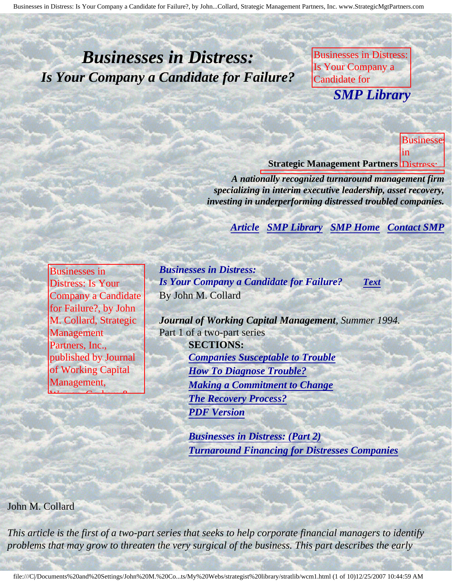# <span id="page-0-4"></span><span id="page-0-3"></span>*Businesses in Distress: Is Your Company a Candidate for Failure?*

Businesses in Distress: Is Your Company a Candidate for **SMP Librar** *SMP Library*

Management Partners,

Journal of Working Capital Management, Capital Management, Capital Management, Capital Management, Capital Management, Capital Ma **Businesse** in

**Candidate** 

Failure?, by John

Collard, **Strategic** 

Partners,

published and

**Journal** 

Working **Capital Report** 

Warren, **Gordon** & Lamont

Management,

Inc.,

rs

Management

M.

**Strategic Management Partners Distress:** 

Collard, Strategic

Inc., published by

**A** nationally recognized turnaround management firm specializing in interim executive leadership, asset recovery, *investing in underperforming distressed troubled companies.* 

**[Article](#page-0-0) [SMP Library](http://members.aol.com/stratlib3/libindx.html) [SMP Home](http://members.aol.com/strategist/home.html#TOP) [Contact SMP](#page-8-0)** 

Inc., published by Journal of Working and

<span id="page-0-0"></span>Businesses in Distress: Is Your Company a Candidate for Failure?, by John M. Collard, Strategic Management Partners, Inc., published by Journal of Working Capital Management,

<span id="page-0-2"></span> $W = 0.1$ 

Lamont

*Businesses in Distress: Is Your Company a Candidate for Failure? [Text](#page-0-1)* By John M. Collard

Lamont

*Journal of Working Capital Management, Summer 1994.* Part 1 of a two-part series **SECTIONS:** *[Companies Susceptable to Trouble](#page-2-0) [How To Diagnose Trouble?](#page-4-0) [Making a Commitment to Change](#page-6-0) [The Recovery Process?](#page-7-0) [PDF Version](http://members.aol.com/stratlib/jwcm1.pdf)*

> *[Businesses in Distress: \(Part 2\)](http://members.aol.com/stratlib/wcm2.html#TOP) [Turnaround Financing for Distresses Companies](http://members.aol.com/stratlib/wcm2.html#TOP)*

<span id="page-0-1"></span>John M. Collard

*This article is the first of a two-part series that seeks to help corporate financial managers to identify problems that may grow to threaten the very surgical of the business. This part describes the early*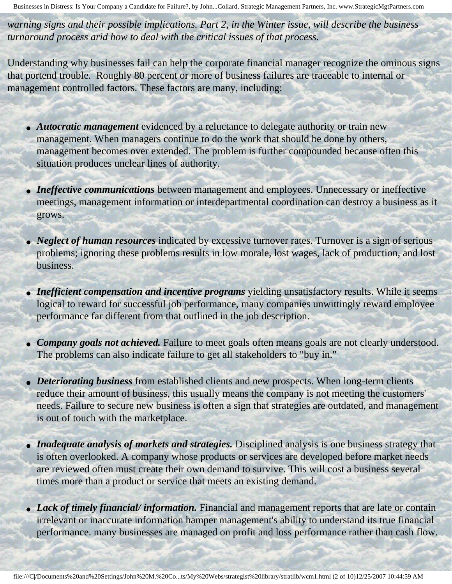*warning signs and their possible implications. Part 2, in the Winter issue, will describe the business turnaround process arid how to deal with the critical issues of that process.*

Understanding why businesses fail can help the corporate financial manager recognize the ominous signs that portend trouble. Roughly 80 percent or more of business failures are traceable to internal or management controlled factors. These factors are many, including:

- *Autocratic management* evidenced by a reluctance to delegate authority or train new management. When managers continue to do the work that should be done by others, management becomes over extended. The problem is further compounded because often this situation produces unclear lines of authority.
- *Ineffective communications* between management and employees. Unnecessary or ineffective meetings, management information or interdepartmental coordination can destroy a business as it grows.
- *Neglect of human resources* indicated by excessive turnover rates. Turnover is a sign of serious problems; ignoring these problems results in low morale, lost wages, lack of production, and lost business.
- *Inefficient compensation and incentive programs* yielding unsatisfactory results. While it seems logical to reward for successful job performance, many companies unwittingly reward employee performance far different from that outlined in the job description.
- *Company goals not achieved*. Failure to meet goals often means goals are not clearly understood. The problems can also indicate failure to get all stakeholders to "buy in."
- *Deteriorating business* from established clients and new prospects. When long-term clients reduce their amount of business, this usually means the company is not meeting the customers' needs. Failure to secure new business is often a sign that strategies are outdated, and management is out of touch with the marketplace.
- *Inadequate analysis of markets and strategies*. Disciplined analysis is one business strategy that is often overlooked. A company whose products or services are developed before market needs are reviewed often must create their own demand to survive. This will cost a business several times more than a product or service that meets an existing demand.
- *Lack of timely financial/ information*. Financial and management reports that are late or contain irrelevant or inaccurate information hamper management's ability to understand its true financial performance. many businesses are managed on profit and loss performance rather than cash flow.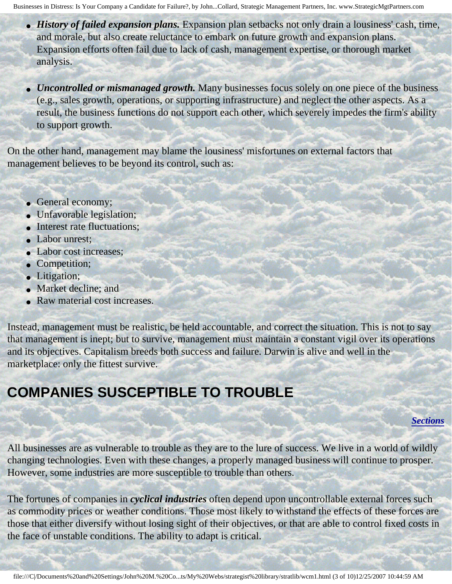- *History of failed expansion plans*. Expansion plan setbacks not only drain a lousiness' cash, time, and morale, but also create reluctance to embark on future growth and expansion plans. Expansion efforts often fail due to lack of cash, management expertise, or thorough market analysis.
- *Uncontrolled or mismanaged growth*. Many businesses focus solely on one piece of the business (e.g., sales growth, operations, or supporting infrastructure) and neglect the other aspects. As a result, the business functions do not support each other, which severely impedes the firm's ability to support growth.

On the other hand, management may blame the lousiness' misfortunes on external factors that management believes to be beyond its control, such as:

- General economy;
- Unfavorable legislation;
- Interest rate fluctuations;
- Labor unrest:
- Labor cost increases;
- Competition;
- Litigation;
- Market decline; and
- Raw material cost increases.

Instead, management must be realistic, be held accountable, and correct the situation. This is not to say that management is inept; but to survive, management must maintain a constant vigil over its operations and its objectives. Capitalism breeds both success and failure. Darwin is alive and well in the marketplace: only the fittest survive.

### <span id="page-2-0"></span>**COMPANIES SUSCEPTIBLE TO TROUBLE**

#### *[Sections](#page-0-2)*

All businesses are as vulnerable to trouble as they are to the lure of success. We live in a world of wildly changing technologies. Even with these changes, a properly managed business will continue to prosper. However, some industries are more susceptible to trouble than others.

The fortunes of companies in *cyclical industries* often depend upon uncontrollable external forces such as commodity prices or weather conditions. Those most likely to withstand the effects of these forces are those that either diversify without losing sight of their objectives, or that are able to control fixed costs in the face of unstable conditions. The ability to adapt is critical.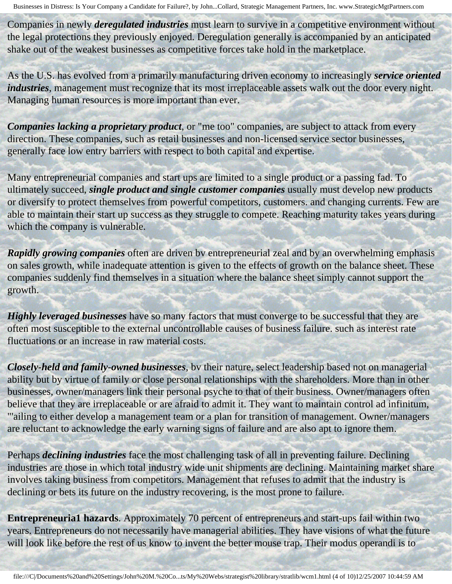Companies in newly *deregulated industries* must learn to survive in a competitive environment without the legal protections they previously enjoyed. Deregulation generally is accompanied by an anticipated shake out of the weakest businesses as competitive forces take hold in the marketplace.

As the U.S. has evolved from a primarily manufacturing driven economy to increasingly *service oriented industries*, management must recognize that its most irreplaceable assets walk out the door every night. Managing human resources is more important than ever.

*Companies lacking a proprietary product*, or "me too" companies, are subject to attack from every direction. These companies, such as retail businesses and non-licensed service sector businesses, generally face low entry barriers with respect to both capital and expertise.

Many entrepreneurial companies and start ups are limited to a single product or a passing fad. To ultimately succeed, *single product and single customer companies* usually must develop new products or diversify to protect themselves from powerful competitors, customers. and changing currents. Few are able to maintain their start up success as they struggle to compete. Reaching maturity takes years during which the company is vulnerable.

*Rapidly growing companies* often are driven bv entrepreneurial zeal and by an overwhelming emphasis on sales growth, while inadequate attention is given to the effects of growth on the balance sheet. These companies suddenly find themselves in a situation where the balance sheet simply cannot support the growth.

*Highly leveraged businesses* have so many factors that must converge to be successful that they are often most susceptible to the external uncontrollable causes of business failure. such as interest rate fluctuations or an increase in raw material costs.

*Closely-held and family-owned businesses*, bv their nature, select leadership based not on managerial ability but by virtue of family or close personal relationships with the shareholders. More than in other businesses, owner/managers link their personal psyche to that of their business. Owner/managers often believe that they are irreplaceable or are afraid to admit it. They want to maintain control ad infinitum, "'ailing to either develop a management team or a plan for transition of management. Owner/managers are reluctant to acknowledge the early warning signs of failure and are also apt to ignore them.

Perhaps *declining industries* face the most challenging task of all in preventing failure. Declining industries are those in which total industry wide unit shipments are declining. Maintaining market share involves taking business from competitors. Management that refuses to admit that the industry is declining or bets its future on the industry recovering, is the most prone to failure.

**Entrepreneuria1 hazards**. Approximately 70 percent of entrepreneurs and start-ups fail within two years. Entrepreneurs do not necessarily have managerial abilities. They have visions of what the future will look like before the rest of us know to invent the better mouse trap. Their modus operandi is to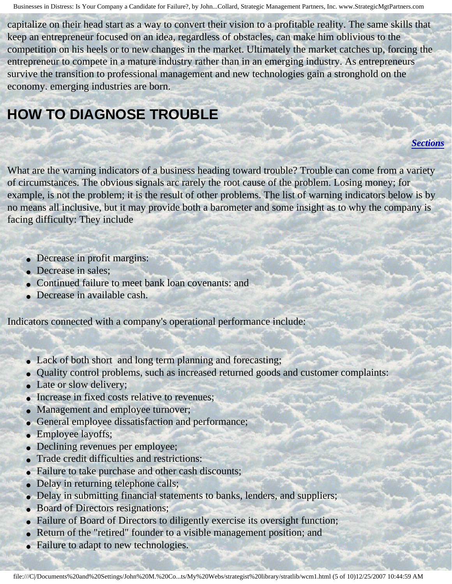capitalize on their head start as a way to convert their vision to a profitable reality. The same skills that keep an entrepreneur focused on an idea, regardless of obstacles, can make him oblivious to the competition on his heels or to new changes in the market. Ultimately the market catches up, forcing the entrepreneur to compete in a mature industry rather than in an emerging industry. As entrepreneurs survive the transition to professional management and new technologies gain a stronghold on the economy. emerging industries are born.

### <span id="page-4-0"></span>**HOW TO DIAGNOSE TROUBLE**

#### *[Sections](#page-0-2)*

What are the warning indicators of a business heading toward trouble? Trouble can come from a variety of circumstances. The obvious signals arc rarely the root cause of the problem. Losing money; for example, is not the problem; it is the result of other problems. The list of warning indicators below is by no means all inclusive, but it may provide both a barometer and some insight as to why the company is facing difficulty: They include

- Decrease in profit margins:
- Decrease in sales;
- Continued failure to meet bank loan covenants: and
- Decrease in available cash.

Indicators connected with a company's operational performance include:

- Lack of both short and long term planning and forecasting;
- Quality control problems, such as increased returned goods and customer complaints:
- Late or slow delivery;
- Increase in fixed costs relative to revenues;
- Management and employee turnover;
- General employee dissatisfaction and performance;
- Employee layoffs;
- Declining revenues per employee;
- Trade credit difficulties and restrictions:
- Failure to take purchase and other cash discounts;
- Delay in returning telephone calls;
- Delay in submitting financial statements to banks, lenders, and suppliers;
- Board of Directors resignations;
- Failure of Board of Directors to diligently exercise its oversight function;
- Return of the "retired" founder to a visible management position; and
- Failure to adapt to new technologies.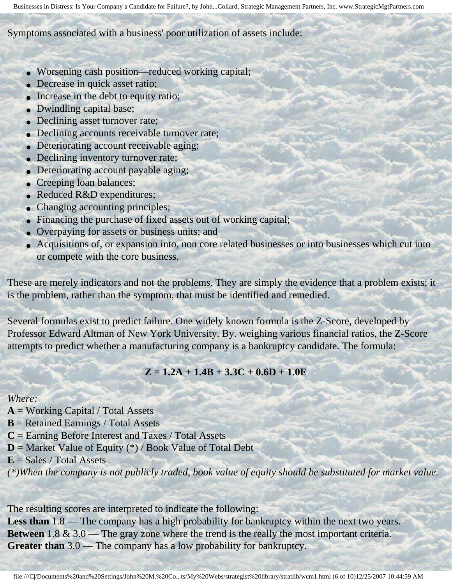#### Symptoms associated with a business' poor utilization of assets include:

- Worsening cash position—reduced working capital;
- Decrease in quick asset ratio;
- Increase in the debt to equity ratio;
- Dwindling capital base;
- Declining asset turnover rate;
- Declining accounts receivable turnover rate;
- Deteriorating account receivable aging;
- Declining inventory turnover rate;
- Deteriorating account payable aging;
- Creeping loan balances;
- Reduced R&D expenditures;
- Changing accounting principles;
- Financing the purchase of fixed assets out of working capital;
- Overpaying for assets or business units; and
- Acquisitions of, or expansion into, non core related businesses or into businesses which cut into or compete with the core business.

These are merely indicators and not the problems. They are simply the evidence that a problem exists; it is the problem, rather than the symptom, that must be identified and remedied.

Several formulas exist to predict failure. One widely known formula is the Z-Score, developed by Professor Edward Altman of New York University. By. weighing various financial ratios, the Z-Score attempts to predict whether a manufacturing company is a bankruptcy candidate. The formula:

### **Z = 1.2A + 1.4B + 3.3C + 0.6D + 1.0E**

#### *Where:*

- **A** = Working Capital / Total Assets
- **B** = Retained Earnings / Total Assets
- **C** = Earning Before Interest and Taxes / Total Assets
- **D** = Market Value of Equity (\*) / Book Value of Total Debt
- **E** = Sales / Total Assets

*(\*)When the company is not publicly traded, book value of equity should be substituted for market value.*

The resulting scores are interpreted to indicate the following:

Less than 1.8 — The company has a high probability for bankruptcy within the next two years. **Between** 1.8 & 3.0 — The gray zone where the trend is the really the most important criteria. **Greater than** 3.0 — The company has a low probability for bankruptcy.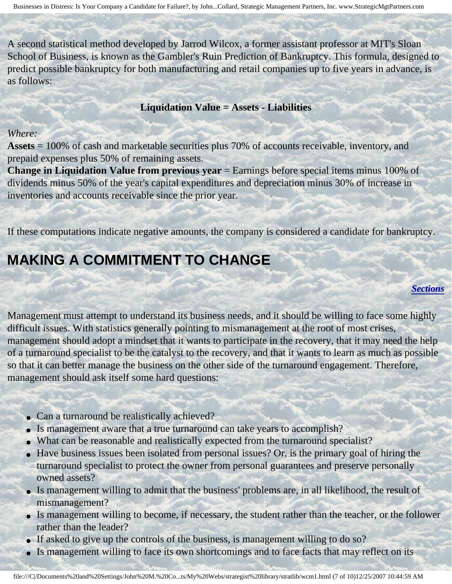A second statistical method developed by Jarrod Wilcox, a former assistant professor at MIT's Sloan School of Business, is known as the Gambler's Ruin Prediction of Bankruptcy. This formula, designed to predict possible bankruptcy for both manufacturing and retail companies up to five years in advance, is as follows:

#### **Liquidation Value = Assets - Liabilities**

#### *Where:*

**Assets** = 100% of cash and marketable securities plus 70% of accounts receivable, inventory, and prepaid expenses plus 50% of remaining assets.

**Change in Liquidation Value from previous year** = Earnings before special items minus 100% of dividends minus 50% of the year's capital expenditures and depreciation minus 30% of increase in inventories and accounts receivable since the prior year.

<span id="page-6-0"></span>If these computations indicate negative amounts, the company is considered a candidate for bankruptcy.

### **MAKING A COMMITMENT TO CHANGE**

#### *[Sections](#page-0-2)*

Management must attempt to understand its business needs, and it should be willing to face some highly difficult issues. With statistics generally pointing to mismanagement at the root of most crises, management should adopt a mindset that it wants to participate in the recovery, that it may need the help of a turnaround specialist to be the catalyst to the recovery, and that it wants to learn as much as possible so that it can better manage the business on the other side of the turnaround engagement. Therefore, management should ask itself some hard questions:

- Can a turnaround be realistically achieved?
- Is management aware that a true turnaround can take years to accomplish?
- What can be reasonable and realistically expected from the turnaround specialist?
- Have business issues been isolated from personal issues? Or, is the primary goal of hiring the turnaround specialist to protect the owner from personal guarantees and preserve personally owned assets?
- Is management willing to admit that the business' problems are, in all likelihood, the result of mismanagement?
- Is management willing to become, if necessary, the student rather than the teacher, or the follower rather than the leader?
- If asked to give up the controls of the business, is management willing to do so?
- Is management willing to face its own shortcomings and to face facts that may reflect on its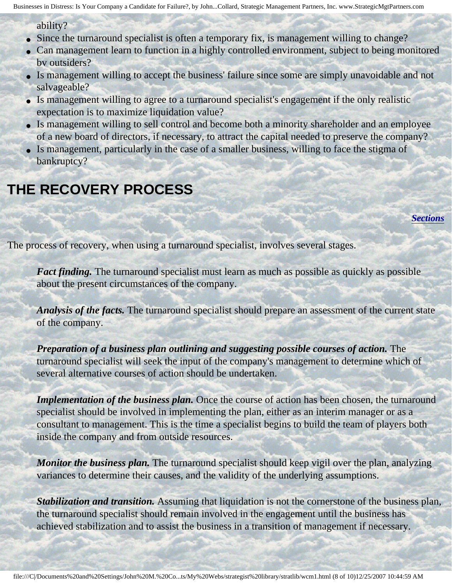ability?

- Since the turnaround specialist is often a temporary fix, is management willing to change?
- Can management learn to function in a highly controlled environment, subject to being monitored bv outsiders?
- Is management willing to accept the business' failure since some are simply unavoidable and not salvageable?
- Is management willing to agree to a turnaround specialist's engagement if the only realistic expectation is to maximize liquidation value?
- Is management willing to sell control and become both a minority shareholder and an employee of a new board of directors, if necessary, to attract the capital needed to preserve the company?
- Is management, particularly in the case of a smaller business, willing to face the stigma of bankruptcy?

## <span id="page-7-0"></span>**THE RECOVERY PROCESS**

*[Sections](#page-0-2)*

The process of recovery, when using a turnaround specialist, involves several stages.

*Fact finding.* The turnaround specialist must learn as much as possible as quickly as possible about the present circumstances of the company.

*Analysis of the facts.* The turnaround specialist should prepare an assessment of the current state of the company.

*Preparation of a business plan outlining and suggesting possible courses of action.* The turnaround specialist will seek the input of the company's management to determine which of several alternative courses of action should be undertaken.

*Implementation of the business plan.* Once the course of action has been chosen, the turnaround specialist should be involved in implementing the plan, either as an interim manager or as a consultant to management. This is the time a specialist begins to build the team of players both inside the company and from outside resources.

*Monitor the business plan.* The turnaround specialist should keep vigil over the plan, analyzing variances to determine their causes, and the validity of the underlying assumptions.

*Stabilization and transition.* Assuming that liquidation is not the cornerstone of the business plan, the turnaround specialist should remain involved in the engagement until the business has achieved stabilization and to assist the business in a transition of management if necessary.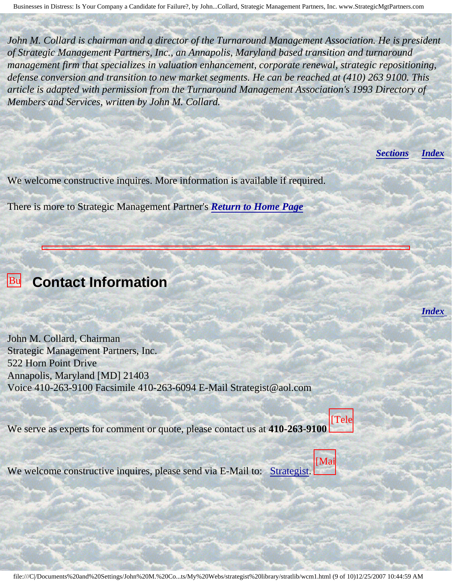*John M. Collard is chairman and a director of the Turnaround Management Association. He is president of Strategic Management Partners, Inc., an Annapolis, Maryland based transition and turnaround management firm that specializes in valuation enhancement, corporate renewal, strategic repositioning, defense conversion and transition to new market segments. He can be reached at (410) 263 9100. This article is adapted with permission from the Turnaround Management Association's 1993 Directory of Members and Services, written by John M. Collard.*

Businesses in Distress: Is Your Company a Candidate for Failure?, by John M. Collard,

Strategic Management Partners, Inc., and the

*[Sections](#page-0-2) [Index](#page-0-3)*

*[Index](#page-0-3)*

We welcome constructive inquires. More information is available if required.

There is more to Strategic Management Partner's *[Return to Home Page](http://members.aol.com/strategist/home.html#TOP)*

<span id="page-8-0"></span>

by John

Collard,

Inc.,

published and a series

Working Corporation

Distress:

### **Businesses Contact Information**

Your John M. Collard, Chairman Strategic Management Partners, Inc. 522 Horn Point Drive Annapolis, Maryland [MD] 21403 Voice 410-263-9100 Facsimile 410-263-6094 E-Mail Strategist@aol.com

We serve as experts for comment or quote, please contact us at **410-263-9100** [Tele

We welcome **Partners** We welcome constructive inquires, please send via E-Mail to: [Strategist.](mailto:Strategist@aol.com (library wcm1))



| Mai